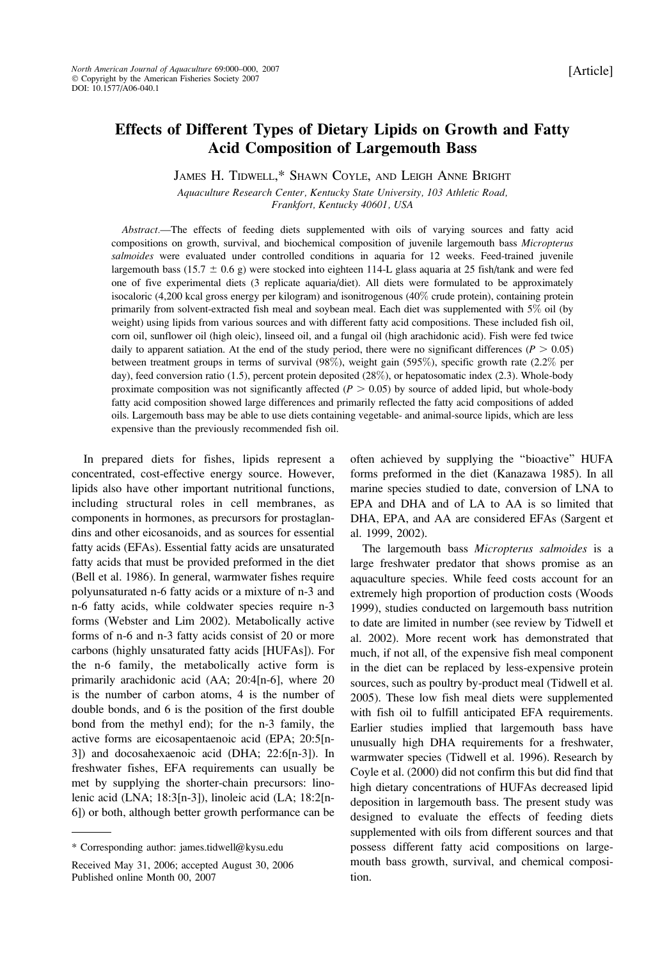# Effects of Different Types of Dietary Lipids on Growth and Fatty Acid Composition of Largemouth Bass

JAMES H. TIDWELL,\* SHAWN COYLE, AND LEIGH ANNE BRIGHT

Aquaculture Research Center, Kentucky State University, 103 Athletic Road, Frankfort, Kentucky 40601, USA

Abstract.—The effects of feeding diets supplemented with oils of varying sources and fatty acid compositions on growth, survival, and biochemical composition of juvenile largemouth bass Micropterus salmoides were evaluated under controlled conditions in aquaria for 12 weeks. Feed-trained juvenile largemouth bass (15.7  $\pm$  0.6 g) were stocked into eighteen 114-L glass aquaria at 25 fish/tank and were fed one of five experimental diets (3 replicate aquaria/diet). All diets were formulated to be approximately isocaloric (4,200 kcal gross energy per kilogram) and isonitrogenous (40% crude protein), containing protein primarily from solvent-extracted fish meal and soybean meal. Each diet was supplemented with 5% oil (by weight) using lipids from various sources and with different fatty acid compositions. These included fish oil, corn oil, sunflower oil (high oleic), linseed oil, and a fungal oil (high arachidonic acid). Fish were fed twice daily to apparent satiation. At the end of the study period, there were no significant differences ( $P > 0.05$ ) between treatment groups in terms of survival (98%), weight gain (595%), specific growth rate (2.2% per day), feed conversion ratio (1.5), percent protein deposited (28%), or hepatosomatic index (2.3). Whole-body proximate composition was not significantly affected ( $P > 0.05$ ) by source of added lipid, but whole-body fatty acid composition showed large differences and primarily reflected the fatty acid compositions of added oils. Largemouth bass may be able to use diets containing vegetable- and animal-source lipids, which are less expensive than the previously recommended fish oil.

In prepared diets for fishes, lipids represent a concentrated, cost-effective energy source. However, lipids also have other important nutritional functions, including structural roles in cell membranes, as components in hormones, as precursors for prostaglandins and other eicosanoids, and as sources for essential fatty acids (EFAs). Essential fatty acids are unsaturated fatty acids that must be provided preformed in the diet (Bell et al. 1986). In general, warmwater fishes require polyunsaturated n-6 fatty acids or a mixture of n-3 and n-6 fatty acids, while coldwater species require n-3 forms (Webster and Lim 2002). Metabolically active forms of n-6 and n-3 fatty acids consist of 20 or more carbons (highly unsaturated fatty acids [HUFAs]). For the n-6 family, the metabolically active form is primarily arachidonic acid (AA; 20:4[n-6], where 20 is the number of carbon atoms, 4 is the number of double bonds, and 6 is the position of the first double bond from the methyl end); for the n-3 family, the active forms are eicosapentaenoic acid (EPA; 20:5[n-3]) and docosahexaenoic acid (DHA; 22:6[n-3]). In freshwater fishes, EFA requirements can usually be met by supplying the shorter-chain precursors: linolenic acid (LNA; 18:3[n-3]), linoleic acid (LA; 18:2[n-6]) or both, although better growth performance can be often achieved by supplying the ''bioactive'' HUFA forms preformed in the diet (Kanazawa 1985). In all marine species studied to date, conversion of LNA to EPA and DHA and of LA to AA is so limited that DHA, EPA, and AA are considered EFAs (Sargent et al. 1999, 2002).

The largemouth bass Micropterus salmoides is a large freshwater predator that shows promise as an aquaculture species. While feed costs account for an extremely high proportion of production costs (Woods 1999), studies conducted on largemouth bass nutrition to date are limited in number (see review by Tidwell et al. 2002). More recent work has demonstrated that much, if not all, of the expensive fish meal component in the diet can be replaced by less-expensive protein sources, such as poultry by-product meal (Tidwell et al. 2005). These low fish meal diets were supplemented with fish oil to fulfill anticipated EFA requirements. Earlier studies implied that largemouth bass have unusually high DHA requirements for a freshwater, warmwater species (Tidwell et al. 1996). Research by Coyle et al. (2000) did not confirm this but did find that high dietary concentrations of HUFAs decreased lipid deposition in largemouth bass. The present study was designed to evaluate the effects of feeding diets supplemented with oils from different sources and that possess different fatty acid compositions on largemouth bass growth, survival, and chemical composition.

<sup>\*</sup> Corresponding author: james.tidwell@kysu.edu

Received May 31, 2006; accepted August 30, 2006 Published online Month 00, 2007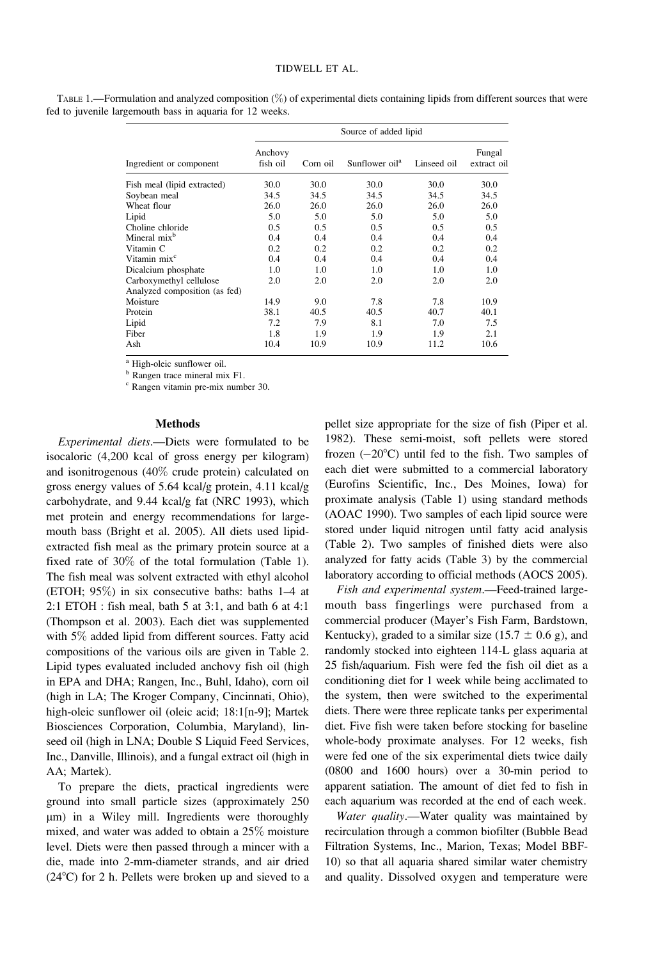|                               | Source of added lipid |          |                            |             |                       |  |  |
|-------------------------------|-----------------------|----------|----------------------------|-------------|-----------------------|--|--|
| Ingredient or component       | Anchovy<br>fish oil   | Corn oil | Sunflower oil <sup>a</sup> | Linseed oil | Fungal<br>extract oil |  |  |
| Fish meal (lipid extracted)   | 30.0                  | 30.0     | 30.0                       | 30.0        | 30.0                  |  |  |
| Soybean meal                  | 34.5                  | 34.5     | 34.5                       | 34.5        | 34.5                  |  |  |
| Wheat flour                   | 26.0                  | 26.0     | 26.0                       | 26.0        | 26.0                  |  |  |
| Lipid                         | 5.0                   | 5.0      | 5.0                        | 5.0         | 5.0                   |  |  |
| Choline chloride              | 0.5                   | 0.5      | 0.5                        | 0.5         | 0.5                   |  |  |
| Mineral mix <sup>b</sup>      | 0.4                   | 0.4      | 0.4                        | 0.4         | 0.4                   |  |  |
| Vitamin C                     | 0.2                   | 0.2      | 0.2                        | 0.2         | 0.2                   |  |  |
| Vitamin mix <sup>c</sup>      | 0.4                   | 0.4      | 0.4                        | 0.4         | 0.4                   |  |  |
| Dicalcium phosphate           | 1.0                   | 1.0      | 1.0                        | 1.0         | 1.0                   |  |  |
| Carboxymethyl cellulose       | 2.0                   | 2.0      | 2.0                        | 2.0         | 2.0                   |  |  |
| Analyzed composition (as fed) |                       |          |                            |             |                       |  |  |
| Moisture                      | 14.9                  | 9.0      | 7.8                        | 7.8         | 10.9                  |  |  |
| Protein                       | 38.1                  | 40.5     | 40.5                       | 40.7        | 40.1                  |  |  |
| Lipid                         | 7.2                   | 7.9      | 8.1                        | 7.0         | 7.5                   |  |  |
| Fiber                         | 1.8                   | 1.9      | 1.9                        | 1.9         | 2.1                   |  |  |
| Ash                           | 10.4                  | 10.9     | 10.9                       | 11.2        | 10.6                  |  |  |

TABLE 1.—Formulation and analyzed composition (%) of experimental diets containing lipids from different sources that were fed to juvenile largemouth bass in aquaria for 12 weeks.

<sup>a</sup> High-oleic sunflower oil.

<sup>b</sup> Rangen trace mineral mix F1.

<sup>c</sup> Rangen vitamin pre-mix number 30.

## Methods

Experimental diets.—Diets were formulated to be isocaloric (4,200 kcal of gross energy per kilogram) and isonitrogenous (40% crude protein) calculated on gross energy values of 5.64 kcal/g protein, 4.11 kcal/g carbohydrate, and 9.44 kcal/g fat (NRC 1993), which met protein and energy recommendations for largemouth bass (Bright et al. 2005). All diets used lipidextracted fish meal as the primary protein source at a fixed rate of 30% of the total formulation (Table 1). The fish meal was solvent extracted with ethyl alcohol (ETOH; 95%) in six consecutive baths: baths 1–4 at 2:1 ETOH : fish meal, bath 5 at 3:1, and bath 6 at 4:1 (Thompson et al. 2003). Each diet was supplemented with 5% added lipid from different sources. Fatty acid compositions of the various oils are given in Table 2. Lipid types evaluated included anchovy fish oil (high in EPA and DHA; Rangen, Inc., Buhl, Idaho), corn oil (high in LA; The Kroger Company, Cincinnati, Ohio), high-oleic sunflower oil (oleic acid; 18:1[n-9]; Martek Biosciences Corporation, Columbia, Maryland), linseed oil (high in LNA; Double S Liquid Feed Services, Inc., Danville, Illinois), and a fungal extract oil (high in AA; Martek).

To prepare the diets, practical ingredients were ground into small particle sizes (approximately 250 lm) in a Wiley mill. Ingredients were thoroughly mixed, and water was added to obtain a 25% moisture level. Diets were then passed through a mincer with a die, made into 2-mm-diameter strands, and air dried  $(24^{\circ}$ C) for 2 h. Pellets were broken up and sieved to a pellet size appropriate for the size of fish (Piper et al. 1982). These semi-moist, soft pellets were stored frozen  $(-20^{\circ}C)$  until fed to the fish. Two samples of each diet were submitted to a commercial laboratory (Eurofins Scientific, Inc., Des Moines, Iowa) for proximate analysis (Table 1) using standard methods (AOAC 1990). Two samples of each lipid source were stored under liquid nitrogen until fatty acid analysis (Table 2). Two samples of finished diets were also analyzed for fatty acids (Table 3) by the commercial laboratory according to official methods (AOCS 2005).

Fish and experimental system.—Feed-trained largemouth bass fingerlings were purchased from a commercial producer (Mayer's Fish Farm, Bardstown, Kentucky), graded to a similar size (15.7  $\pm$  0.6 g), and randomly stocked into eighteen 114-L glass aquaria at 25 fish/aquarium. Fish were fed the fish oil diet as a conditioning diet for 1 week while being acclimated to the system, then were switched to the experimental diets. There were three replicate tanks per experimental diet. Five fish were taken before stocking for baseline whole-body proximate analyses. For 12 weeks, fish were fed one of the six experimental diets twice daily (0800 and 1600 hours) over a 30-min period to apparent satiation. The amount of diet fed to fish in each aquarium was recorded at the end of each week.

Water quality.—Water quality was maintained by recirculation through a common biofilter (Bubble Bead Filtration Systems, Inc., Marion, Texas; Model BBF-10) so that all aquaria shared similar water chemistry and quality. Dissolved oxygen and temperature were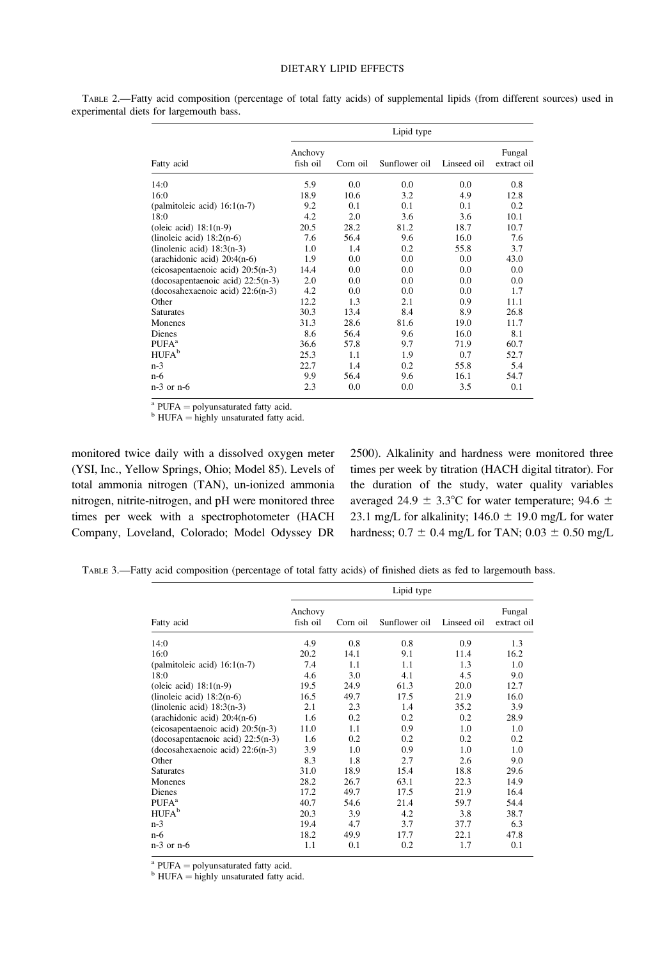### DIETARY LIPID EFFECTS

|                                     | Lipid type          |          |               |             |                       |  |  |
|-------------------------------------|---------------------|----------|---------------|-------------|-----------------------|--|--|
| Fatty acid                          | Anchovy<br>fish oil | Corn oil | Sunflower oil | Linseed oil | Fungal<br>extract oil |  |  |
| 14:0                                | 5.9                 | 0.0      | 0.0           | 0.0         | 0.8                   |  |  |
| 16:0                                | 18.9                | 10.6     | 3.2           | 4.9         | 12.8                  |  |  |
| (palmitoleic acid) $16:1(n-7)$      | 9.2                 | 0.1      | 0.1           | 0.1         | 0.2                   |  |  |
| 18:0                                | 4.2                 | 2.0      | 3.6           | 3.6         | 10.1                  |  |  |
| (oleic acid) $18:1(n-9)$            | 20.5                | 28.2     | 81.2          | 18.7        | 10.7                  |  |  |
| (linoleic acid) $18:2(n-6)$         | 7.6                 | 56.4     | 9.6           | 16.0        | 7.6                   |  |  |
| (linolenic acid) $18:3(n-3)$        | 1.0                 | 1.4      | 0.2           | 55.8        | 3.7                   |  |  |
| (arachidonic acid) $20:4(n-6)$      | 1.9                 | 0.0      | 0.0           | 0.0         | 43.0                  |  |  |
| (eicosapentaenoic acid) $20:5(n-3)$ | 14.4                | 0.0      | 0.0           | 0.0         | 0.0                   |  |  |
| (docosapentaenoic acid) $22:5(n-3)$ | 2.0                 | 0.0      | 0.0           | 0.0         | 0.0                   |  |  |
| (docosahexaenoic acid) $22:6(n-3)$  | 4.2                 | 0.0      | 0.0           | 0.0         | 1.7                   |  |  |
| Other                               | 12.2                | 1.3      | 2.1           | 0.9         | 11.1                  |  |  |
| <b>Saturates</b>                    | 30.3                | 13.4     | 8.4           | 8.9         | 26.8                  |  |  |
| Monenes                             | 31.3                | 28.6     | 81.6          | 19.0        | 11.7                  |  |  |
| <b>Dienes</b>                       | 8.6                 | 56.4     | 9.6           | 16.0        | 8.1                   |  |  |
| $PUFA^a$                            | 36.6                | 57.8     | 9.7           | 71.9        | 60.7                  |  |  |
| <b>HUFA</b> <sup>b</sup>            | 25.3                | 1.1      | 1.9           | 0.7         | 52.7                  |  |  |
| $n-3$                               | 22.7                | 1.4      | 0.2           | 55.8        | 5.4                   |  |  |
| n-6                                 | 9.9                 | 56.4     | 9.6           | 16.1        | 54.7                  |  |  |
| $n-3$ or $n-6$                      | 2.3                 | 0.0      | 0.0           | 3.5         | 0.1                   |  |  |

TABLE 2.—Fatty acid composition (percentage of total fatty acids) of supplemental lipids (from different sources) used in experimental diets for largemouth bass.

<sup>a</sup> PUFA = polyunsaturated fatty acid. b HUFA = highly unsaturated fatty acid.

monitored twice daily with a dissolved oxygen meter (YSI, Inc., Yellow Springs, Ohio; Model 85). Levels of total ammonia nitrogen (TAN), un-ionized ammonia nitrogen, nitrite-nitrogen, and pH were monitored three times per week with a spectrophotometer (HACH Company, Loveland, Colorado; Model Odyssey DR 2500). Alkalinity and hardness were monitored three times per week by titration (HACH digital titrator). For the duration of the study, water quality variables averaged 24.9  $\pm$  3.3°C for water temperature; 94.6  $\pm$ 23.1 mg/L for alkalinity;  $146.0 \pm 19.0$  mg/L for water hardness;  $0.7 \pm 0.4$  mg/L for TAN;  $0.03 \pm 0.50$  mg/L

TABLE 3.—Fatty acid composition (percentage of total fatty acids) of finished diets as fed to largemouth bass.

|                                     | Lipid type          |          |               |             |                       |  |  |
|-------------------------------------|---------------------|----------|---------------|-------------|-----------------------|--|--|
| Fatty acid                          | Anchovy<br>fish oil | Corn oil | Sunflower oil | Linseed oil | Fungal<br>extract oil |  |  |
| 14:0                                | 4.9                 | 0.8      | 0.8           | 0.9         | 1.3                   |  |  |
| 16:0                                | 20.2                | 14.1     | 9.1           | 11.4        | 16.2                  |  |  |
| (palmitoleic acid) $16:1(n-7)$      | 7.4                 | 1.1      | 1.1           | 1.3         | 1.0                   |  |  |
| 18:0                                | 4.6                 | 3.0      | 4.1           | 4.5         | 9.0                   |  |  |
| (oleic acid) $18:1(n-9)$            | 19.5                | 24.9     | 61.3          | 20.0        | 12.7                  |  |  |
| (linoleic acid) $18:2(n-6)$         | 16.5                | 49.7     | 17.5          | 21.9        | 16.0                  |  |  |
| (linolenic acid) $18:3(n-3)$        | 2.1                 | 2.3      | 1.4           | 35.2        | 3.9                   |  |  |
| (arachidonic acid) $20:4(n-6)$      | 1.6                 | 0.2      | 0.2           | 0.2         | 28.9                  |  |  |
| (eicosapentaenoic acid) $20:5(n-3)$ | 11.0                | 1.1      | 0.9           | 1.0         | 1.0                   |  |  |
| (docosapentaenoic acid) $22:5(n-3)$ | 1.6                 | 0.2      | 0.2           | 0.2         | 0.2                   |  |  |
| $(docosahexaenoic acid) 22:6(n-3)$  | 3.9                 | 1.0      | 0.9           | 1.0         | 1.0                   |  |  |
| Other                               | 8.3                 | 1.8      | 2.7           | 2.6         | 9.0                   |  |  |
| <b>Saturates</b>                    | 31.0                | 18.9     | 15.4          | 18.8        | 29.6                  |  |  |
| Monenes                             | 28.2                | 26.7     | 63.1          | 22.3        | 14.9                  |  |  |
| Dienes                              | 17.2                | 49.7     | 17.5          | 21.9        | 16.4                  |  |  |
| PUFA <sup>a</sup>                   | 40.7                | 54.6     | 21.4          | 59.7        | 54.4                  |  |  |
| <b>HUFA</b> <sup>b</sup>            | 20.3                | 3.9      | 4.2           | 3.8         | 38.7                  |  |  |
| $n-3$                               | 19.4                | 4.7      | 3.7           | 37.7        | 6.3                   |  |  |
| $n-6$                               | 18.2                | 49.9     | 17.7          | 22.1        | 47.8                  |  |  |
| $n-3$ or $n-6$                      | 1.1                 | 0.1      | 0.2           | 1.7         | 0.1                   |  |  |

<sup>a</sup> PUFA = polyunsaturated fatty acid. b HUFA = highly unsaturated fatty acid.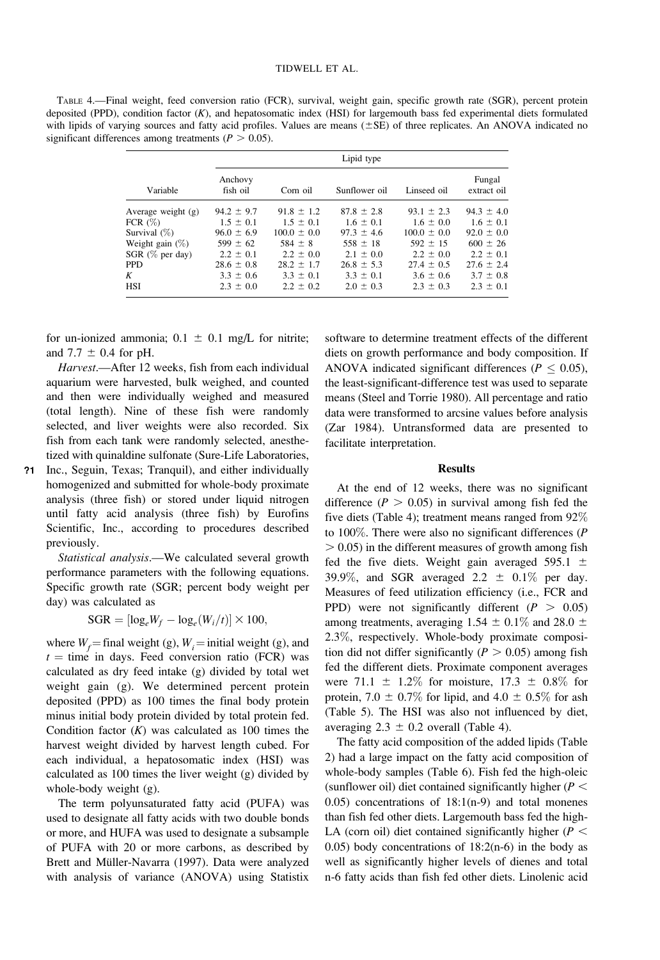TABLE 4.—Final weight, feed conversion ratio (FCR), survival, weight gain, specific growth rate (SGR), percent protein deposited (PPD), condition factor (K), and hepatosomatic index (HSI) for largemouth bass fed experimental diets formulated with lipids of varying sources and fatty acid profiles. Values are means  $(\pm SE)$  of three replicates. An ANOVA indicated no significant differences among treatments ( $P > 0.05$ ).

|                      | Lipid type          |                 |                |                 |                       |  |  |  |
|----------------------|---------------------|-----------------|----------------|-----------------|-----------------------|--|--|--|
| Variable             | Anchovy<br>fish oil | Corn oil        | Sunflower oil  | Linseed oil     | Fungal<br>extract oil |  |  |  |
| Average weight $(g)$ | $94.2 \pm 9.7$      | $91.8 \pm 1.2$  | $87.8 \pm 2.8$ | $93.1 \pm 2.3$  | $94.3 \pm 4.0$        |  |  |  |
| FCR $(\%)$           | $1.5 \pm 0.1$       | $1.5 \pm 0.1$   | $1.6 \pm 0.1$  | $1.6 \pm 0.0$   | $1.6 \pm 0.1$         |  |  |  |
| Survival $(\%)$      | $96.0 \pm 6.9$      | $100.0 \pm 0.0$ | $97.3 \pm 4.6$ | $100.0 \pm 0.0$ | $92.0 \pm 0.0$        |  |  |  |
| Weight gain $(\%)$   | $599 \pm 62$        | $584 \pm 8$     | $558 \pm 18$   | $592 \pm 15$    | $600 \pm 26$          |  |  |  |
| $SGR$ (% per day)    | $2.2 \pm 0.1$       | $2.2 \pm 0.0$   | $2.1 \pm 0.0$  | $2.2 \pm 0.0$   | $2.2 \pm 0.1$         |  |  |  |
| <b>PPD</b>           | $28.6 \pm 0.8$      | $28.2 \pm 1.7$  | $26.8 \pm 5.3$ | $27.4 \pm 0.5$  | $27.6 \pm 2.4$        |  |  |  |
| K                    | $3.3 \pm 0.6$       | $3.3 \pm 0.1$   | $3.3 \pm 0.1$  | $3.6 \pm 0.6$   | $3.7 \pm 0.8$         |  |  |  |
| HSI                  | $2.3 \pm 0.0$       | $2.2 \pm 0.2$   | $2.0 \pm 0.3$  | $2.3 \pm 0.3$   | $2.3 \pm 0.1$         |  |  |  |

for un-ionized ammonia;  $0.1 \pm 0.1$  mg/L for nitrite; and 7.7  $\pm$  0.4 for pH.

Harvest.—After 12 weeks, fish from each individual aquarium were harvested, bulk weighed, and counted and then were individually weighed and measured (total length). Nine of these fish were randomly selected, and liver weights were also recorded. Six fish from each tank were randomly selected, anesthetized with quinaldine sulfonate (Sure-Life Laboratories,

?1 Inc., Seguin, Texas; Tranquil), and either individually homogenized and submitted for whole-body proximate analysis (three fish) or stored under liquid nitrogen until fatty acid analysis (three fish) by Eurofins Scientific, Inc., according to procedures described previously.

Statistical analysis.—We calculated several growth performance parameters with the following equations. Specific growth rate (SGR; percent body weight per day) was calculated as

 $\text{SGR} = [\log_e W_f - \log_e(W_i/t)] \times 100,$ 

where  $W_f$  = final weight (g),  $W_i$  = initial weight (g), and  $t =$  time in days. Feed conversion ratio (FCR) was calculated as dry feed intake (g) divided by total wet weight gain (g). We determined percent protein deposited (PPD) as 100 times the final body protein minus initial body protein divided by total protein fed. Condition factor  $(K)$  was calculated as 100 times the harvest weight divided by harvest length cubed. For each individual, a hepatosomatic index (HSI) was calculated as 100 times the liver weight (g) divided by whole-body weight (g).

The term polyunsaturated fatty acid (PUFA) was used to designate all fatty acids with two double bonds or more, and HUFA was used to designate a subsample of PUFA with 20 or more carbons, as described by Brett and Müller-Navarra (1997). Data were analyzed with analysis of variance (ANOVA) using Statistix

software to determine treatment effects of the different diets on growth performance and body composition. If ANOVA indicated significant differences ( $P \leq 0.05$ ), the least-significant-difference test was used to separate means (Steel and Torrie 1980). All percentage and ratio data were transformed to arcsine values before analysis (Zar 1984). Untransformed data are presented to facilitate interpretation.

## **Results**

At the end of 12 weeks, there was no significant difference ( $P > 0.05$ ) in survival among fish fed the five diets (Table 4); treatment means ranged from 92% to 100%. There were also no significant differences (P  $> 0.05$ ) in the different measures of growth among fish fed the five diets. Weight gain averaged 595.1  $\pm$ 39.9%, and SGR averaged 2.2  $\pm$  0.1% per day. Measures of feed utilization efficiency (i.e., FCR and PPD) were not significantly different  $(P > 0.05)$ among treatments, averaging 1.54  $\pm$  0.1% and 28.0  $\pm$ 2.3%, respectively. Whole-body proximate composition did not differ significantly ( $P > 0.05$ ) among fish fed the different diets. Proximate component averages were 71.1  $\pm$  1.2% for moisture, 17.3  $\pm$  0.8% for protein, 7.0  $\pm$  0.7% for lipid, and 4.0  $\pm$  0.5% for ash (Table 5). The HSI was also not influenced by diet, averaging  $2.3 \pm 0.2$  overall (Table 4).

The fatty acid composition of the added lipids (Table 2) had a large impact on the fatty acid composition of whole-body samples (Table 6). Fish fed the high-oleic (sunflower oil) diet contained significantly higher ( $P <$ 0.05) concentrations of 18:1(n-9) and total monenes than fish fed other diets. Largemouth bass fed the high-LA (corn oil) diet contained significantly higher ( $P <$  $0.05$ ) body concentrations of  $18:2(n-6)$  in the body as well as significantly higher levels of dienes and total n-6 fatty acids than fish fed other diets. Linolenic acid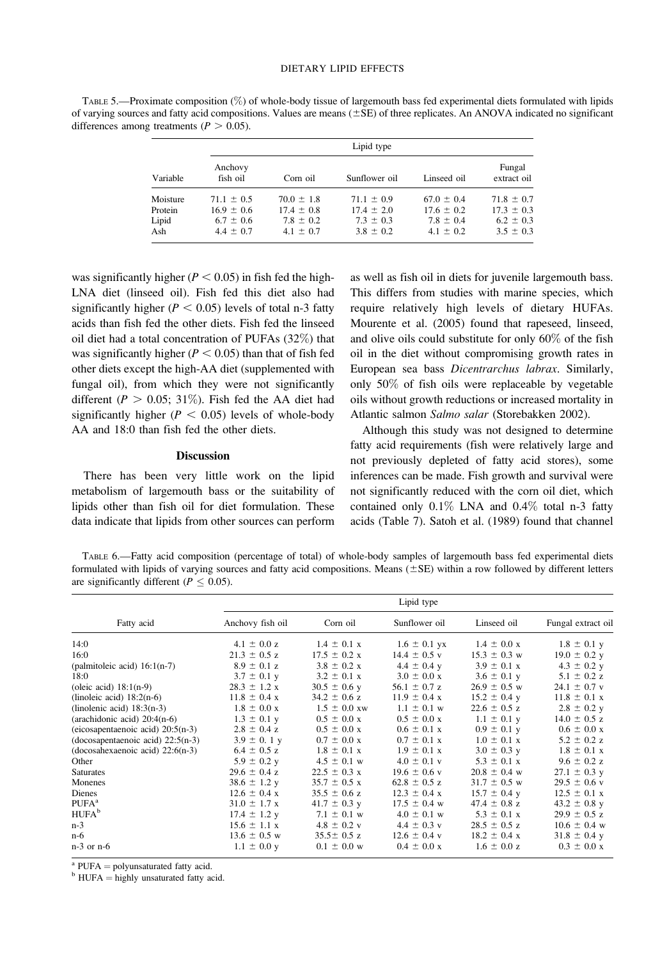TABLE 5.—Proximate composition (%) of whole-body tissue of largemouth bass fed experimental diets formulated with lipids of varying sources and fatty acid compositions. Values are means  $(\pm SE)$  of three replicates. An ANOVA indicated no significant differences among treatments ( $P > 0.05$ ).

|          |                     | Lipid type     |                |                |                       |  |  |  |
|----------|---------------------|----------------|----------------|----------------|-----------------------|--|--|--|
| Variable | Anchovy<br>fish oil | Corn oil       | Sunflower oil  | Linseed oil    | Fungal<br>extract oil |  |  |  |
| Moisture | $71.1 \pm 0.5$      | $70.0 \pm 1.8$ | $71.1 \pm 0.9$ | $67.0 \pm 0.4$ | $71.8 \pm 0.7$        |  |  |  |
| Protein  | $16.9 \pm 0.6$      | $17.4 \pm 0.8$ | $17.4 \pm 2.0$ | $17.6 \pm 0.2$ | $17.3 \pm 0.3$        |  |  |  |
| Lipid    | $6.7 \pm 0.6$       | $7.8 \pm 0.2$  | $7.3 \pm 0.3$  | $7.8 \pm 0.4$  | $6.2 \pm 0.3$         |  |  |  |
| Ash      | $4.4 \pm 0.7$       | $4.1 \pm 0.7$  | $3.8 \pm 0.2$  | $4.1 \pm 0.2$  | $3.5 \pm 0.3$         |  |  |  |

was significantly higher ( $P < 0.05$ ) in fish fed the high-LNA diet (linseed oil). Fish fed this diet also had significantly higher ( $P < 0.05$ ) levels of total n-3 fatty acids than fish fed the other diets. Fish fed the linseed oil diet had a total concentration of PUFAs (32%) that was significantly higher ( $P < 0.05$ ) than that of fish fed other diets except the high-AA diet (supplemented with fungal oil), from which they were not significantly different ( $P > 0.05$ ; 31%). Fish fed the AA diet had significantly higher ( $P < 0.05$ ) levels of whole-body AA and 18:0 than fish fed the other diets.

#### **Discussion**

There has been very little work on the lipid metabolism of largemouth bass or the suitability of lipids other than fish oil for diet formulation. These data indicate that lipids from other sources can perform as well as fish oil in diets for juvenile largemouth bass. This differs from studies with marine species, which require relatively high levels of dietary HUFAs. Mourente et al. (2005) found that rapeseed, linseed, and olive oils could substitute for only 60% of the fish oil in the diet without compromising growth rates in European sea bass Dicentrarchus labrax. Similarly, only 50% of fish oils were replaceable by vegetable oils without growth reductions or increased mortality in Atlantic salmon Salmo salar (Storebakken 2002).

Although this study was not designed to determine fatty acid requirements (fish were relatively large and not previously depleted of fatty acid stores), some inferences can be made. Fish growth and survival were not significantly reduced with the corn oil diet, which contained only 0.1% LNA and 0.4% total n-3 fatty acids (Table 7). Satoh et al. (1989) found that channel

TABLE 6.—Fatty acid composition (percentage of total) of whole-body samples of largemouth bass fed experimental diets formulated with lipids of varying sources and fatty acid compositions. Means  $(\pm SE)$  within a row followed by different letters are significantly different ( $P \leq 0.05$ ).

|                                     |                          |                          | Lipid type               |                          |                          |
|-------------------------------------|--------------------------|--------------------------|--------------------------|--------------------------|--------------------------|
| Fatty acid                          | Anchovy fish oil         | Corn oil                 | Sunflower oil            | Linseed oil              | Fungal extract oil       |
| 14:0                                | $4.1 \pm 0.0 z$          | $1.4 \pm 0.1 \text{ x}$  | $1.6 \pm 0.1$ yx         | $1.4 \pm 0.0 \text{ x}$  | $1.8 \pm 0.1$ y          |
| 16:0                                | $21.3 \pm 0.5$ z         | $17.5 \pm 0.2 \text{ x}$ | $14.4 \pm 0.5$ v         | $15.3 \pm 0.3$ w         | $19.0 \pm 0.2$ y         |
| (palmitoleic acid) $16:1(n-7)$      | $8.9 \pm 0.1$ z          | $3.8 \pm 0.2 \text{ x}$  | $4.4 \pm 0.4$ y          | $3.9 \pm 0.1 \text{ x}$  | $4.3 \pm 0.2$ y          |
| 18:0                                | $3.7 \pm 0.1$ y          | $3.2 \pm 0.1 \text{ x}$  | $3.0 \pm 0.0 \text{ x}$  | $3.6 \pm 0.1$ y          | $5.1 \pm 0.2 z$          |
| (oleic acid) $18:1(n-9)$            | $28.3 \pm 1.2 \text{ x}$ | $30.5 \pm 0.6$ y         | 56.1 $\pm$ 0.7 z         | $26.9 \pm 0.5$ w         | $24.1 \pm 0.7$ v         |
| (linoleic acid) $18:2(n-6)$         | $11.8 \pm 0.4 \text{ x}$ | $34.2 \pm 0.6$ z         | $11.9 \pm 0.4 \text{ x}$ | $15.2 \pm 0.4$ y         | $11.8 \pm 0.1 \text{ x}$ |
| (linolenic acid) $18:3(n-3)$        | $1.8 \pm 0.0 \text{ x}$  | $1.5 \pm 0.0$ xw         | $1.1 \pm 0.1$ w          | $22.6 \pm 0.5$ z         | $2.8 \pm 0.2$ y          |
| (arachidonic acid) $20:4(n-6)$      | $1.3 \pm 0.1$ y          | $0.5 \pm 0.0 \text{ x}$  | $0.5 \pm 0.0 \text{ x}$  | $1.1 \pm 0.1$ y          | $14.0 \pm 0.5$ z         |
| (eicosapentaenoic acid) $20:5(n-3)$ | $2.8 \pm 0.4$ z          | $0.5 \pm 0.0 \text{ x}$  | $0.6 \pm 0.1 \text{ x}$  | $0.9 \pm 0.1$ y          | $0.6 \pm 0.0 x$          |
| (docosapentaenoic acid) $22:5(n-3)$ | $3.9 \pm 0.1$ y          | $0.7 \pm 0.0 x$          | $0.7 \pm 0.1 \text{ x}$  | $1.0 \pm 0.1 \text{ x}$  | $5.2 \pm 0.2 z$          |
| $(docosahexaenoic acid) 22:6(n-3)$  | $6.4 \pm 0.5$ z          | $1.8 \pm 0.1 \text{ x}$  | $1.9 \pm 0.1 \text{ x}$  | $3.0 \pm 0.3$ y          | $1.8 \pm 0.1 \text{ x}$  |
| Other                               | $5.9 \pm 0.2$ y          | $4.5 \pm 0.1$ w          | $4.0 \pm 0.1$ v          | $5.3 \pm 0.1 \text{ x}$  | $9.6 \pm 0.2 z$          |
| <b>Saturates</b>                    | $29.6 \pm 0.4$ z         | $22.5 \pm 0.3$ x         | $19.6 \pm 0.6$ v         | $20.8 \pm 0.4$ w         | $27.1 \pm 0.3$ y         |
| Monenes                             | $38.6 \pm 1.2$ y         | $35.7 \pm 0.5 \text{ x}$ | $62.8 \pm 0.5$ z         | $31.7 \pm 0.5$ w         | $29.5 \pm 0.6$ v         |
| Dienes                              | $12.6 \pm 0.4 \text{ x}$ | $35.5 \pm 0.6$ z         | $12.3 \pm 0.4 \text{ x}$ | $15.7 \pm 0.4$ y         | $12.5 \pm 0.1 \text{ x}$ |
| PUFA <sup>a</sup>                   | $31.0 \pm 1.7 \text{ x}$ | $41.7 \pm 0.3$ y         | $17.5 \pm 0.4$ w         | $47.4 \pm 0.8$ z         | $43.2 \pm 0.8$ y         |
| HUFA <sup>b</sup>                   | $17.4 \pm 1.2$ y         | $7.1 \pm 0.1$ w          | $4.0 \pm 0.1$ w          | $5.3 \pm 0.1 \text{ x}$  | $29.9 \pm 0.5$ z         |
| $n-3$                               | $15.6 \pm 1.1 \text{ x}$ | $4.8 \pm 0.2$ v          | $4.4 \pm 0.3$ v          | $28.5 \pm 0.5$ z         | $10.6 \pm 0.4$ w         |
| $n-6$                               | $13.6 \pm 0.5$ w         | $35.5 \pm 0.5$ z         | $12.6 \pm 0.4$ v         | $18.2 \pm 0.4 \text{ x}$ | $31.8 \pm 0.4$ y         |
| $n-3$ or $n-6$                      | $1.1 \pm 0.0$ y          | $0.1 \pm 0.0 \text{ w}$  | $0.4 \pm 0.0 \text{ x}$  | $1.6 \pm 0.0 z$          | $0.3 \pm 0.0 \text{ x}$  |

<sup>a</sup> PUFA = polyunsaturated fatty acid. b HUFA = highly unsaturated fatty acid.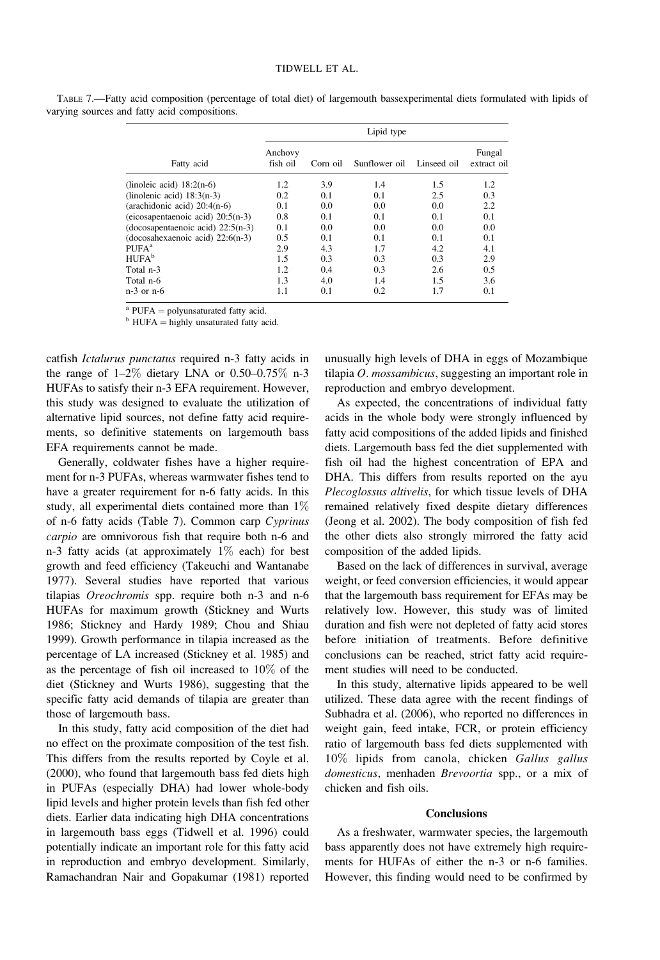|                                              | TABLE 7.—Fatty acid composition (percentage of total diet) of largemouth bassexperimental diets formulated with lipids of |  |  |  |
|----------------------------------------------|---------------------------------------------------------------------------------------------------------------------------|--|--|--|
| varying sources and fatty acid compositions. |                                                                                                                           |  |  |  |
|                                              |                                                                                                                           |  |  |  |

| Lipid type          |          |               |             |                       |  |  |
|---------------------|----------|---------------|-------------|-----------------------|--|--|
| Anchovy<br>fish oil | Corn oil | Sunflower oil | Linseed oil | Fungal<br>extract oil |  |  |
| 1.2                 | 3.9      | 1.4           | 1.5         | 1.2                   |  |  |
| 0.2                 | 0.1      | 0.1           | 2.5         | 0.3                   |  |  |
| 0.1                 | 0.0      | 0.0           | 0.0         | 2.2                   |  |  |
| 0.8                 | 0.1      | 0.1           | 0.1         | 0.1                   |  |  |
| 0.1                 | 0.0      | 0.0           | 0.0         | 0.0                   |  |  |
| 0.5                 | 0.1      | 0.1           | 0.1         | 0.1                   |  |  |
| 2.9                 | 4.3      | 1.7           | 4.2         | 4.1                   |  |  |
| 1.5                 | 0.3      | 0.3           | 0.3         | 2.9                   |  |  |
| 1.2                 | 0.4      | 0.3           | 2.6         | 0.5                   |  |  |
| 1.3                 | 4.0      | 1.4           | 1.5         | 3.6                   |  |  |
| 1.1                 | 0.1      | 0.2           | 1.7         | 0.1                   |  |  |
|                     |          |               |             |                       |  |  |

<sup>a</sup> PUFA = polyunsaturated fatty acid. b HUFA = highly unsaturated fatty acid.

catfish Ictalurus punctatus required n-3 fatty acids in the range of  $1-2\%$  dietary LNA or 0.50-0.75% n-3 HUFAs to satisfy their n-3 EFA requirement. However, this study was designed to evaluate the utilization of alternative lipid sources, not define fatty acid requirements, so definitive statements on largemouth bass EFA requirements cannot be made.

Generally, coldwater fishes have a higher requirement for n-3 PUFAs, whereas warmwater fishes tend to have a greater requirement for n-6 fatty acids. In this study, all experimental diets contained more than 1% of n-6 fatty acids (Table 7). Common carp Cyprinus carpio are omnivorous fish that require both n-6 and n-3 fatty acids (at approximately  $1\%$  each) for best growth and feed efficiency (Takeuchi and Wantanabe 1977). Several studies have reported that various tilapias Oreochromis spp. require both n-3 and n-6 HUFAs for maximum growth (Stickney and Wurts 1986; Stickney and Hardy 1989; Chou and Shiau 1999). Growth performance in tilapia increased as the percentage of LA increased (Stickney et al. 1985) and as the percentage of fish oil increased to 10% of the diet (Stickney and Wurts 1986), suggesting that the specific fatty acid demands of tilapia are greater than those of largemouth bass.

In this study, fatty acid composition of the diet had no effect on the proximate composition of the test fish. This differs from the results reported by Coyle et al. (2000), who found that largemouth bass fed diets high in PUFAs (especially DHA) had lower whole-body lipid levels and higher protein levels than fish fed other diets. Earlier data indicating high DHA concentrations in largemouth bass eggs (Tidwell et al. 1996) could potentially indicate an important role for this fatty acid in reproduction and embryo development. Similarly, Ramachandran Nair and Gopakumar (1981) reported

unusually high levels of DHA in eggs of Mozambique tilapia O. mossambicus, suggesting an important role in reproduction and embryo development.

As expected, the concentrations of individual fatty acids in the whole body were strongly influenced by fatty acid compositions of the added lipids and finished diets. Largemouth bass fed the diet supplemented with fish oil had the highest concentration of EPA and DHA. This differs from results reported on the ayu Plecoglossus altivelis, for which tissue levels of DHA remained relatively fixed despite dietary differences (Jeong et al. 2002). The body composition of fish fed the other diets also strongly mirrored the fatty acid composition of the added lipids.

Based on the lack of differences in survival, average weight, or feed conversion efficiencies, it would appear that the largemouth bass requirement for EFAs may be relatively low. However, this study was of limited duration and fish were not depleted of fatty acid stores before initiation of treatments. Before definitive conclusions can be reached, strict fatty acid requirement studies will need to be conducted.

In this study, alternative lipids appeared to be well utilized. These data agree with the recent findings of Subhadra et al. (2006), who reported no differences in weight gain, feed intake, FCR, or protein efficiency ratio of largemouth bass fed diets supplemented with 10% lipids from canola, chicken Gallus gallus domesticus, menhaden Brevoortia spp., or a mix of chicken and fish oils.

#### **Conclusions**

As a freshwater, warmwater species, the largemouth bass apparently does not have extremely high requirements for HUFAs of either the n-3 or n-6 families. However, this finding would need to be confirmed by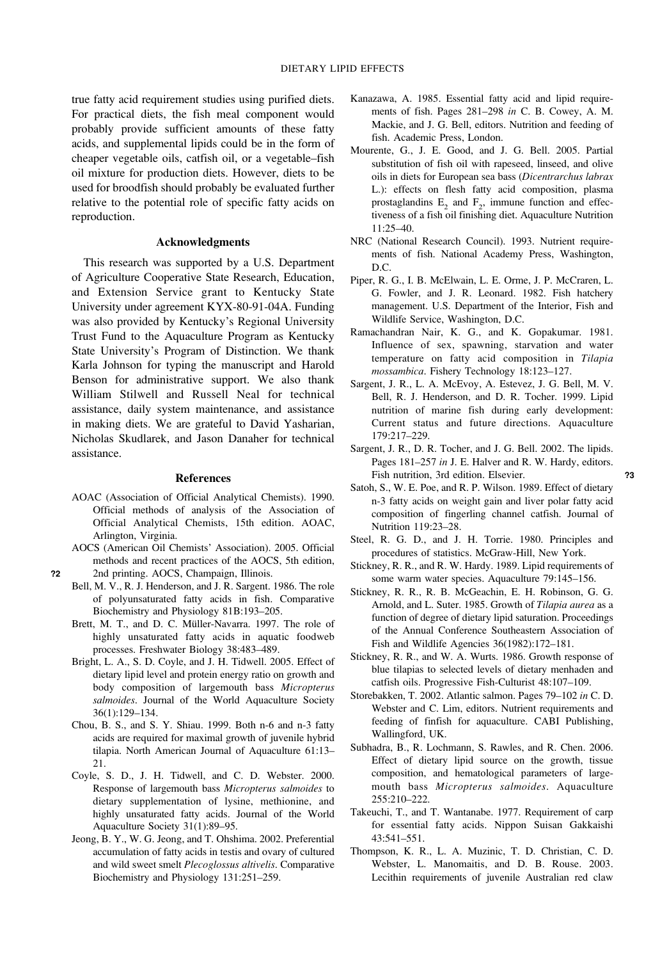true fatty acid requirement studies using purified diets. For practical diets, the fish meal component would probably provide sufficient amounts of these fatty acids, and supplemental lipids could be in the form of cheaper vegetable oils, catfish oil, or a vegetable–fish oil mixture for production diets. However, diets to be used for broodfish should probably be evaluated further relative to the potential role of specific fatty acids on reproduction.

## Acknowledgments

This research was supported by a U.S. Department of Agriculture Cooperative State Research, Education, and Extension Service grant to Kentucky State University under agreement KYX-80-91-04A. Funding was also provided by Kentucky's Regional University Trust Fund to the Aquaculture Program as Kentucky State University's Program of Distinction. We thank Karla Johnson for typing the manuscript and Harold Benson for administrative support. We also thank William Stilwell and Russell Neal for technical assistance, daily system maintenance, and assistance in making diets. We are grateful to David Yasharian, Nicholas Skudlarek, and Jason Danaher for technical assistance.

#### References

- AOAC (Association of Official Analytical Chemists). 1990. Official methods of analysis of the Association of Official Analytical Chemists, 15th edition. AOAC, Arlington, Virginia.
- AOCS (American Oil Chemists' Association). 2005. Official methods and recent practices of the AOCS, 5th edition, ?2 2nd printing. AOCS, Champaign, Illinois.
	- Bell, M. V., R. J. Henderson, and J. R. Sargent. 1986. The role of polyunsaturated fatty acids in fish. Comparative Biochemistry and Physiology 81B:193–205.
	- Brett, M. T., and D. C. Müller-Navarra. 1997. The role of highly unsaturated fatty acids in aquatic foodweb processes. Freshwater Biology 38:483–489.
	- Bright, L. A., S. D. Coyle, and J. H. Tidwell. 2005. Effect of dietary lipid level and protein energy ratio on growth and body composition of largemouth bass Micropterus salmoides. Journal of the World Aquaculture Society 36(1):129–134.
	- Chou, B. S., and S. Y. Shiau. 1999. Both n-6 and n-3 fatty acids are required for maximal growth of juvenile hybrid tilapia. North American Journal of Aquaculture 61:13– 21.
	- Coyle, S. D., J. H. Tidwell, and C. D. Webster. 2000. Response of largemouth bass Micropterus salmoides to dietary supplementation of lysine, methionine, and highly unsaturated fatty acids. Journal of the World Aquaculture Society 31(1):89–95.
	- Jeong, B. Y., W. G. Jeong, and T. Ohshima. 2002. Preferential accumulation of fatty acids in testis and ovary of cultured and wild sweet smelt Plecoglossus altivelis. Comparative Biochemistry and Physiology 131:251–259.
- Kanazawa, A. 1985. Essential fatty acid and lipid requirements of fish. Pages 281–298 in C. B. Cowey, A. M. Mackie, and J. G. Bell, editors. Nutrition and feeding of fish. Academic Press, London.
- Mourente, G., J. E. Good, and J. G. Bell. 2005. Partial substitution of fish oil with rapeseed, linseed, and olive oils in diets for European sea bass (Dicentrarchus labrax L.): effects on flesh fatty acid composition, plasma prostaglandins  $E_2$  and  $F_2$ , immune function and effectiveness of a fish oil finishing diet. Aquaculture Nutrition  $11:25-40.$
- NRC (National Research Council). 1993. Nutrient requirements of fish. National Academy Press, Washington, D.C.
- Piper, R. G., I. B. McElwain, L. E. Orme, J. P. McCraren, L. G. Fowler, and J. R. Leonard. 1982. Fish hatchery management. U.S. Department of the Interior, Fish and Wildlife Service, Washington, D.C.
- Ramachandran Nair, K. G., and K. Gopakumar. 1981. Influence of sex, spawning, starvation and water temperature on fatty acid composition in Tilapia mossambica. Fishery Technology 18:123–127.
- Sargent, J. R., L. A. McEvoy, A. Estevez, J. G. Bell, M. V. Bell, R. J. Henderson, and D. R. Tocher. 1999. Lipid nutrition of marine fish during early development: Current status and future directions. Aquaculture 179:217–229.
- Sargent, J. R., D. R. Tocher, and J. G. Bell. 2002. The lipids. Pages 181–257 in J. E. Halver and R. W. Hardy, editors. Fish nutrition, 3rd edition. Elsevier. 23
- Satoh, S., W. E. Poe, and R. P. Wilson. 1989. Effect of dietary n-3 fatty acids on weight gain and liver polar fatty acid composition of fingerling channel catfish. Journal of Nutrition 119:23–28.
- Steel, R. G. D., and J. H. Torrie. 1980. Principles and procedures of statistics. McGraw-Hill, New York.
- Stickney, R. R., and R. W. Hardy. 1989. Lipid requirements of some warm water species. Aquaculture 79:145–156.
- Stickney, R. R., R. B. McGeachin, E. H. Robinson, G. G. Arnold, and L. Suter. 1985. Growth of Tilapia aurea as a function of degree of dietary lipid saturation. Proceedings of the Annual Conference Southeastern Association of Fish and Wildlife Agencies 36(1982):172–181.
- Stickney, R. R., and W. A. Wurts. 1986. Growth response of blue tilapias to selected levels of dietary menhaden and catfish oils. Progressive Fish-Culturist 48:107–109.
- Storebakken, T. 2002. Atlantic salmon. Pages 79–102 in C. D. Webster and C. Lim, editors. Nutrient requirements and feeding of finfish for aquaculture. CABI Publishing, Wallingford, UK.
- Subhadra, B., R. Lochmann, S. Rawles, and R. Chen. 2006. Effect of dietary lipid source on the growth, tissue composition, and hematological parameters of largemouth bass Micropterus salmoides. Aquaculture 255:210–222.
- Takeuchi, T., and T. Wantanabe. 1977. Requirement of carp for essential fatty acids. Nippon Suisan Gakkaishi 43:541–551.
- Thompson, K. R., L. A. Muzinic, T. D. Christian, C. D. Webster, L. Manomaitis, and D. B. Rouse. 2003. Lecithin requirements of juvenile Australian red claw